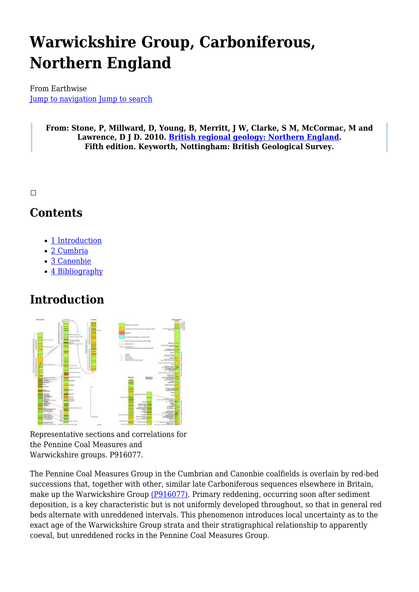# **Warwickshire Group, Carboniferous, Northern England**

From Earthwise [Jump to navigation](#page--1-0) [Jump to search](#page--1-0)

> **From: Stone, P, Millward, D, Young, B, Merritt, J W, Clarke, S M, McCormac, M and Lawrence, D J D. 2010. [British regional geology: Northern England.](http://earthwise.bgs.ac.uk/index.php/British_regional_geology:_Northern_England) Fifth edition. Keyworth, Nottingham: British Geological Survey.**

 $\Box$ 

### **Contents**

- [1](#page--1-0) [Introduction](#page--1-0)
- [2](#page--1-0) [Cumbria](#page--1-0)
- [3](#page--1-0) [Canonbie](#page--1-0)
- [4](#page--1-0) [Bibliography](#page--1-0)

### **Introduction**



Representative sections and correlations for the Pennine Coal Measures and Warwickshire groups. P916077.

The Pennine Coal Measures Group in the Cumbrian and Canonbie coalfields is overlain by red-bed successions that, together with other, similar late Carboniferous sequences elsewhere in Britain, make up the Warwickshire Group [\(P916077\).](http://earthwise.bgs.ac.uk/images/2/29/P916077.jpg) Primary reddening, occurring soon after sediment deposition, is a key characteristic but is not uniformly developed throughout, so that in general red beds alternate with unreddened intervals. This phenomenon introduces local uncertainty as to the exact age of the Warwickshire Group strata and their stratigraphical relationship to apparently coeval, but unreddened rocks in the Pennine Coal Measures Group.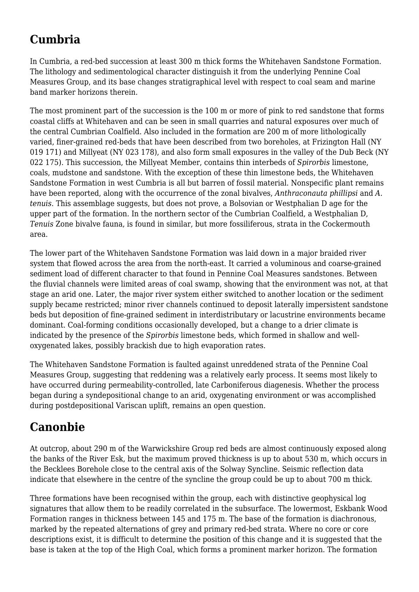# **Cumbria**

In Cumbria, a red-bed succession at least 300 m thick forms the Whitehaven Sandstone Formation. The lithology and sedimentological character distinguish it from the underlying Pennine Coal Measures Group, and its base changes stratigraphical level with respect to coal seam and marine band marker horizons therein.

The most prominent part of the succession is the 100 m or more of pink to red sandstone that forms coastal cliffs at Whitehaven and can be seen in small quarries and natural exposures over much of the central Cumbrian Coalfield. Also included in the formation are 200 m of more lithologically varied, finer-grained red-beds that have been described from two boreholes, at Frizington Hall (NY 019 171) and Millyeat (NY 023 178), and also form small exposures in the valley of the Dub Beck (NY 022 175). This succession, the Millyeat Member, contains thin interbeds of *Spirorbis* limestone, coals, mudstone and sandstone. With the exception of these thin limestone beds, the Whitehaven Sandstone Formation in west Cumbria is all but barren of fossil material. Nonspecific plant remains have been reported, along with the occurrence of the zonal bivalves, *Anthraconauta phillipsi* and *A. tenuis*. This assemblage suggests, but does not prove, a Bolsovian or Westphalian D age for the upper part of the formation. In the northern sector of the Cumbrian Coalfield, a Westphalian D, *Tenuis* Zone bivalve fauna, is found in similar, but more fossiliferous, strata in the Cockermouth area.

The lower part of the Whitehaven Sandstone Formation was laid down in a major braided river system that flowed across the area from the north-east. It carried a voluminous and coarse-grained sediment load of different character to that found in Pennine Coal Measures sandstones. Between the fluvial channels were limited areas of coal swamp, showing that the environment was not, at that stage an arid one. Later, the major river system either switched to another location or the sediment supply became restricted; minor river channels continued to deposit laterally impersistent sandstone beds but deposition of fine-grained sediment in interdistributary or lacustrine environments became dominant. Coal-forming conditions occasionally developed, but a change to a drier climate is indicated by the presence of the *Spirorbis* limestone beds, which formed in shallow and welloxygenated lakes, possibly brackish due to high evaporation rates.

The Whitehaven Sandstone Formation is faulted against unreddened strata of the Pennine Coal Measures Group, suggesting that reddening was a relatively early process. It seems most likely to have occurred during permeability-controlled, late Carboniferous diagenesis. Whether the process began during a syndepositional change to an arid, oxygenating environment or was accomplished during postdepositional Variscan uplift, remains an open question.

# **Canonbie**

At outcrop, about 290 m of the Warwickshire Group red beds are almost continuously exposed along the banks of the River Esk, but the maximum proved thickness is up to about 530 m, which occurs in the Becklees Borehole close to the central axis of the Solway Syncline. Seismic reflection data indicate that elsewhere in the centre of the syncline the group could be up to about 700 m thick.

Three formations have been recognised within the group, each with distinctive geophysical log signatures that allow them to be readily correlated in the subsurface. The lowermost, Eskbank Wood Formation ranges in thickness between 145 and 175 m. The base of the formation is diachronous, marked by the repeated alternations of grey and primary red-bed strata. Where no core or core descriptions exist, it is difficult to determine the position of this change and it is suggested that the base is taken at the top of the High Coal, which forms a prominent marker horizon. The formation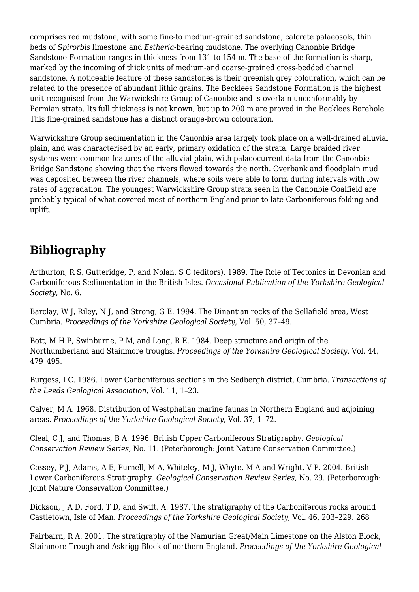comprises red mudstone, with some fine-to medium-grained sandstone, calcrete palaeosols, thin beds of *Spirorbis* limestone and *Estheria*-bearing mudstone. The overlying Canonbie Bridge Sandstone Formation ranges in thickness from 131 to 154 m. The base of the formation is sharp, marked by the incoming of thick units of medium-and coarse-grained cross-bedded channel sandstone. A noticeable feature of these sandstones is their greenish grey colouration, which can be related to the presence of abundant lithic grains. The Becklees Sandstone Formation is the highest unit recognised from the Warwickshire Group of Canonbie and is overlain unconformably by Permian strata. Its full thickness is not known, but up to 200 m are proved in the Becklees Borehole. This fine-grained sandstone has a distinct orange-brown colouration.

Warwickshire Group sedimentation in the Canonbie area largely took place on a well-drained alluvial plain, and was characterised by an early, primary oxidation of the strata. Large braided river systems were common features of the alluvial plain, with palaeocurrent data from the Canonbie Bridge Sandstone showing that the rivers flowed towards the north. Overbank and floodplain mud was deposited between the river channels, where soils were able to form during intervals with low rates of aggradation. The youngest Warwickshire Group strata seen in the Canonbie Coalfield are probably typical of what covered most of northern England prior to late Carboniferous folding and uplift.

# **Bibliography**

Arthurton, R S, Gutteridge, P, and Nolan, S C (editors). 1989. The Role of Tectonics in Devonian and Carboniferous Sedimentation in the British Isles. *Occasional Publication of the Yorkshire Geological Society*, No. 6.

Barclay, W J, Riley, N J, and Strong, G E. 1994. The Dinantian rocks of the Sellafield area, West Cumbria. *Proceedings of the Yorkshire Geological Society*, Vol. 50, 37–49.

Bott, M H P, Swinburne, P M, and Long, R E. 1984. Deep structure and origin of the Northumberland and Stainmore troughs. *Proceedings of the Yorkshire Geological Society*, Vol. 44, 479–495.

Burgess, I C. 1986. Lower Carboniferous sections in the Sedbergh district, Cumbria. *Transactions of the Leeds Geological Association*, Vol. 11, 1–23.

Calver, M A. 1968. Distribution of Westphalian marine faunas in Northern England and adjoining areas. *Proceedings of the Yorkshire Geological Society*, Vol. 37, 1–72.

Cleal, C J, and Thomas, B A. 1996. British Upper Carboniferous Stratigraphy. *Geological Conservation Review Series*, No. 11. (Peterborough: Joint Nature Conservation Committee.)

Cossey, P J, Adams, A E, Purnell, M A, Whiteley, M J, Whyte, M A and Wright, V P. 2004. British Lower Carboniferous Stratigraphy. *Geological Conservation Review Series*, No. 29. (Peterborough: Joint Nature Conservation Committee.)

Dickson, J A D, Ford, T D, and Swift, A. 1987. The stratigraphy of the Carboniferous rocks around Castletown, Isle of Man. *Proceedings of the Yorkshire Geological Society*, Vol. 46, 203–229. 268

Fairbairn, R A. 2001. The stratigraphy of the Namurian Great/Main Limestone on the Alston Block, Stainmore Trough and Askrigg Block of northern England. *Proceedings of the Yorkshire Geological*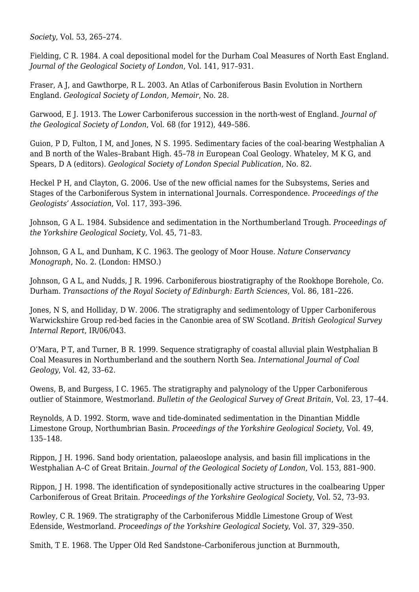*Society*, Vol. 53, 265–274.

Fielding, C R. 1984. A coal depositional model for the Durham Coal Measures of North East England. *Journal of the Geological Society of London*, Vol. 141, 917–931.

Fraser, A J, and Gawthorpe, R L. 2003. An Atlas of Carboniferous Basin Evolution in Northern England. *Geological Society of London, Memoir*, No. 28.

Garwood, E J. 1913. The Lower Carboniferous succession in the north-west of England. *Journal of the Geological Society of London*, Vol. 68 (for 1912), 449–586.

Guion, P D, Fulton, I M, and Jones, N S. 1995. Sedimentary facies of the coal-bearing Westphalian A and B north of the Wales–Brabant High. 45–78 *in* European Coal Geology. Whateley, M K G, and Spears, D A (editors). *Geological Society of London Special Publication*, No. 82.

Heckel P H, and Clayton, G. 2006. Use of the new official names for the Subsystems, Series and Stages of the Carboniferous System in international Journals. Correspondence. *Proceedings of the Geologists' Association*, Vol. 117, 393–396.

Johnson, G A L. 1984. Subsidence and sedimentation in the Northumberland Trough. *Proceedings of the Yorkshire Geological Society*, Vol. 45, 71–83.

Johnson, G A L, and Dunham, K C. 1963. The geology of Moor House. *Nature Conservancy Monograph*, No. 2. (London: HMSO.)

Johnson, G A L, and Nudds, J R. 1996. Carboniferous biostratigraphy of the Rookhope Borehole, Co. Durham. *Transactions of the Royal Society of Edinburgh: Earth Sciences*, Vol. 86, 181–226.

Jones, N S, and Holliday, D W. 2006. The stratigraphy and sedimentology of Upper Carboniferous Warwickshire Group red-bed facies in the Canonbie area of SW Scotland. *British Geological Survey Internal Report*, IR/06/043.

O'Mara, P T, and Turner, B R. 1999. Sequence stratigraphy of coastal alluvial plain Westphalian B Coal Measures in Northumberland and the southern North Sea. *International Journal of Coal Geology*, Vol. 42, 33–62.

Owens, B, and Burgess, I C. 1965. The stratigraphy and palynology of the Upper Carboniferous outlier of Stainmore, Westmorland. *Bulletin of the Geological Survey of Great Britain*, Vol. 23, 17–44.

Reynolds, A D. 1992. Storm, wave and tide-dominated sedimentation in the Dinantian Middle Limestone Group, Northumbrian Basin. *Proceedings of the Yorkshire Geological Society*, Vol. 49, 135–148.

Rippon, J H. 1996. Sand body orientation, palaeoslope analysis, and basin fill implications in the Westphalian A–C of Great Britain. *Journal of the Geological Society of London*, Vol. 153, 881–900.

Rippon, J H. 1998. The identification of syndepositionally active structures in the coalbearing Upper Carboniferous of Great Britain. *Proceedings of the Yorkshire Geological Society*, Vol. 52, 73–93.

Rowley, C R. 1969. The stratigraphy of the Carboniferous Middle Limestone Group of West Edenside, Westmorland. *Proceedings of the Yorkshire Geological Society*, Vol. 37, 329–350.

Smith, T E. 1968. The Upper Old Red Sandstone–Carboniferous junction at Burnmouth,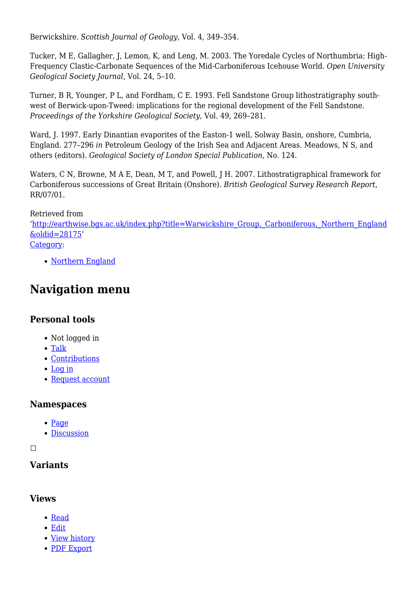Berwickshire. *Scottish Journal of Geology*, Vol. 4, 349–354.

Tucker, M E, Gallagher, J, Lemon, K, and Leng, M. 2003. The Yoredale Cycles of Northumbria: High-Frequency Clastic-Carbonate Sequences of the Mid-Carboniferous Icehouse World. *Open University Geological Society Journal*, Vol. 24, 5–10.

Turner, B R, Younger, P L, and Fordham, C E. 1993. Fell Sandstone Group lithostratigraphy southwest of Berwick-upon-Tweed: implications for the regional development of the Fell Sandstone. *Proceedings of the Yorkshire Geological Society*, Vol. 49, 269–281.

Ward, J. 1997. Early Dinantian evaporites of the Easton-1 well, Solway Basin, onshore, Cumbria, England. 277–296 *in* Petroleum Geology of the Irish Sea and Adjacent Areas. Meadows, N S, and others (editors). *Geological Society of London Special Publication*, No. 124.

Waters, C N, Browne, M A E, Dean, M T, and Powell, J H. 2007. Lithostratigraphical framework for Carboniferous successions of Great Britain (Onshore). *British Geological Survey Research Report*, RR/07/01.

#### Retrieved from

'[http://earthwise.bgs.ac.uk/index.php?title=Warwickshire\\_Group,\\_Carboniferous,\\_Northern\\_England](http://earthwise.bgs.ac.uk/index.php?title=Warwickshire_Group,_Carboniferous,_Northern_England&oldid=28175) [&oldid=28175](http://earthwise.bgs.ac.uk/index.php?title=Warwickshire_Group,_Carboniferous,_Northern_England&oldid=28175)' [Category](http://earthwise.bgs.ac.uk/index.php/Special:Categories):

• [Northern England](http://earthwise.bgs.ac.uk/index.php/Category:Northern_England)

### **Navigation menu**

### **Personal tools**

- Not logged in
- [Talk](http://earthwise.bgs.ac.uk/index.php/Special:MyTalk)
- [Contributions](http://earthwise.bgs.ac.uk/index.php/Special:MyContributions)
- [Log in](http://earthwise.bgs.ac.uk/index.php?title=Special:UserLogin&returnto=Warwickshire+Group%2C+Carboniferous%2C+Northern+England&returntoquery=action%3Dmpdf)
- [Request account](http://earthwise.bgs.ac.uk/index.php/Special:RequestAccount)

### **Namespaces**

- [Page](http://earthwise.bgs.ac.uk/index.php/Warwickshire_Group,_Carboniferous,_Northern_England)
- [Discussion](http://earthwise.bgs.ac.uk/index.php?title=Talk:Warwickshire_Group,_Carboniferous,_Northern_England&action=edit&redlink=1)

 $\Box$ 

### **Variants**

#### **Views**

- [Read](http://earthwise.bgs.ac.uk/index.php/Warwickshire_Group,_Carboniferous,_Northern_England)
- [Edit](http://earthwise.bgs.ac.uk/index.php?title=Warwickshire_Group,_Carboniferous,_Northern_England&action=edit)
- [View history](http://earthwise.bgs.ac.uk/index.php?title=Warwickshire_Group,_Carboniferous,_Northern_England&action=history)
- [PDF Export](http://earthwise.bgs.ac.uk/index.php?title=Warwickshire_Group,_Carboniferous,_Northern_England&action=mpdf)